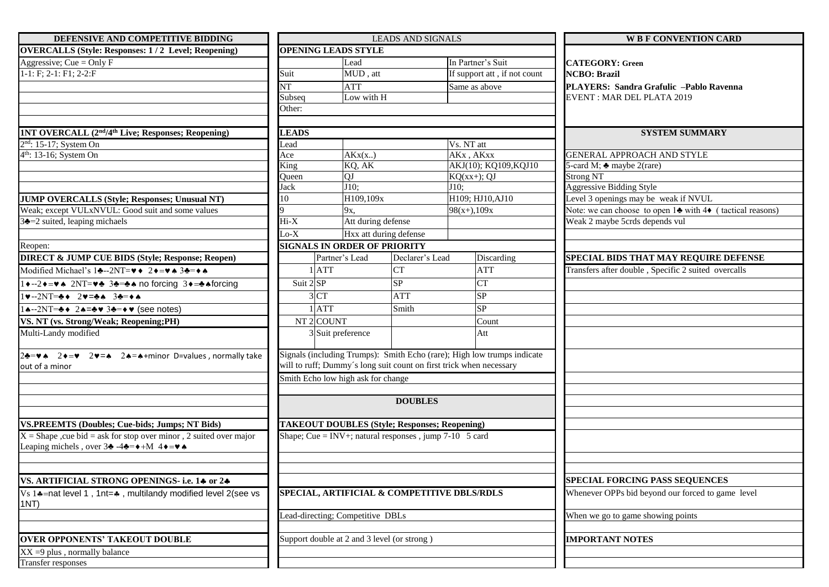| DEFENSIVE AND COMPETITIVE BIDDING                                                                                              | <b>LEADS AND SIGNALS</b>                                                |                                                          |                        |                                                                     | <b>W B F CONVENTION CARD</b>                                                           |  |
|--------------------------------------------------------------------------------------------------------------------------------|-------------------------------------------------------------------------|----------------------------------------------------------|------------------------|---------------------------------------------------------------------|----------------------------------------------------------------------------------------|--|
| <b>OVERCALLS (Style: Responses: 1/2 Level; Reopening)</b>                                                                      |                                                                         | <b>OPENING LEADS STYLE</b>                               |                        |                                                                     |                                                                                        |  |
| Aggressive; Cue = Only $F$                                                                                                     |                                                                         | Lead                                                     |                        | In Partner's Suit                                                   | <b>CATEGORY: Green</b><br><b>NCBO</b> : Brazil                                         |  |
| $1-1: F; 2-1: F1; 2-2: F$                                                                                                      | Suit                                                                    | MUD, att                                                 |                        | If support att, if not count                                        |                                                                                        |  |
|                                                                                                                                | <b>NT</b>                                                               | <b>ATT</b>                                               |                        | Same as above                                                       | PLAYERS: Sandra Grafulic -Pablo Ravenna                                                |  |
|                                                                                                                                | Subseq                                                                  | Low with H                                               |                        |                                                                     | <b>EVENT: MAR DEL PLATA 2019</b>                                                       |  |
|                                                                                                                                | Other:                                                                  |                                                          |                        |                                                                     |                                                                                        |  |
|                                                                                                                                |                                                                         |                                                          |                        |                                                                     |                                                                                        |  |
| <b>1NT OVERCALL (2<sup>nd</sup>/4<sup>th</sup> Live; Responses; Reopening)</b>                                                 | <b>LEADS</b>                                                            |                                                          |                        |                                                                     | <b>SYSTEM SUMMARY</b>                                                                  |  |
| 2 <sup>nd</sup> : 15-17; System On                                                                                             | Lead                                                                    |                                                          |                        | Vs. NT att                                                          |                                                                                        |  |
| 4 <sup>th</sup> : 13-16; System On                                                                                             | Ace<br>AKx(x.)                                                          |                                                          |                        | AKx, AKxx                                                           | GENERAL APPROACH AND STYLE                                                             |  |
|                                                                                                                                |                                                                         | KQ, AK<br>King                                           |                        | AKJ(10); KQ109, KQJ10                                               | 5-card M; $\triangle$ maybe 2(rare)                                                    |  |
|                                                                                                                                | Oueen                                                                   | QJ                                                       |                        | $KQ(xx+)$ ; QJ                                                      | <b>Strong NT</b>                                                                       |  |
|                                                                                                                                | Jack                                                                    | $J10$ :                                                  |                        | $J10$ :                                                             | <b>Aggressive Bidding Style</b>                                                        |  |
| JUMP OVERCALLS (Style; Responses; Unusual NT)                                                                                  | H109,109x<br>10                                                         |                                                          |                        | H109; HJ10, AJ10                                                    | Level 3 openings may be weak if NVUL                                                   |  |
| Weak; except VULxNVUL: Good suit and some values                                                                               |                                                                         | 9x,                                                      |                        | $98(x+), 109x$                                                      | Note: we can choose to open $1\blacktriangle$ with $4\blacklozenge$ (tactical reasons) |  |
| $3\triangleq-2$ suited, leaping michaels                                                                                       | $Hi-X$                                                                  | Att during defense                                       |                        |                                                                     | Weak 2 maybe 5crds depends vul                                                         |  |
|                                                                                                                                | $Lo-X$                                                                  |                                                          | Hxx att during defense |                                                                     |                                                                                        |  |
| Reopen:                                                                                                                        |                                                                         | <b>SIGNALS IN ORDER OF PRIORITY</b>                      |                        |                                                                     |                                                                                        |  |
| <b>DIRECT &amp; JUMP CUE BIDS (Style; Response; Reopen)</b>                                                                    |                                                                         | Partner's Lead                                           | Declarer's Lead        | Discarding                                                          | SPECIAL BIDS THAT MAY REQUIRE DEFENSE                                                  |  |
| Modified Michael's 14-2NT= $\blacktriangledown \blacktriangleleft  2 \blacktriangledown = \blacktriangledown \blacktriangle 3$ |                                                                         | $1$ $ATT$                                                | ${\cal C}{\cal T}$     | <b>ATT</b>                                                          | Transfers after double, Specific 2 suited overcalls                                    |  |
| 1 + --2 + = v + 2NT= v + 3 + = + + no forcing 3 + = + + forcing                                                                | Suit 2 SP                                                               |                                                          | <b>SP</b>              | CT                                                                  |                                                                                        |  |
| $1\vee -2NT = 2\vee = 2\vee = 32.$                                                                                             |                                                                         | 3 <sub>CT</sub>                                          | <b>ATT</b>             | SP                                                                  |                                                                                        |  |
| $1 \triangle -2NT = \triangle + 2 \triangle = \triangle \vee 3 \triangle = \diamond \vee$ (see notes)                          |                                                                         | $1$ ATT                                                  | Smith                  | <b>SP</b>                                                           |                                                                                        |  |
| VS. NT (vs. Strong/Weak; Reopening;PH)                                                                                         | NT <sub>2</sub> COUNT                                                   |                                                          |                        | Count                                                               |                                                                                        |  |
| Multi-Landy modified                                                                                                           |                                                                         | 3 Suit preference                                        |                        | Att                                                                 |                                                                                        |  |
|                                                                                                                                |                                                                         |                                                          |                        |                                                                     |                                                                                        |  |
| 2÷= $\bullet \bullet$ 2 $\bullet$ = $\bullet$ 2 $\bullet$ = $\bullet$ 2 $\bullet$ = $\bullet$ +minor D=values, normally take   | Signals (including Trumps): Smith Echo (rare); High low trumps indicate |                                                          |                        |                                                                     |                                                                                        |  |
| out of a minor                                                                                                                 |                                                                         |                                                          |                        | will to ruff; Dummy's long suit count on first trick when necessary |                                                                                        |  |
|                                                                                                                                | Smith Echo low high ask for change                                      |                                                          |                        |                                                                     |                                                                                        |  |
|                                                                                                                                |                                                                         |                                                          |                        |                                                                     |                                                                                        |  |
|                                                                                                                                |                                                                         |                                                          |                        |                                                                     |                                                                                        |  |
|                                                                                                                                |                                                                         |                                                          |                        |                                                                     |                                                                                        |  |
| <b>VS.PREEMTS (Doubles; Cue-bids; Jumps; NT Bids)</b>                                                                          |                                                                         | <b>TAKEOUT DOUBLES (Style; Responses; Reopening)</b>     |                        |                                                                     |                                                                                        |  |
| $X =$ Shape , cue bid = ask for stop over minor, 2 suited over major                                                           |                                                                         | Shape; Cue = INV+; natural responses, jump $7-10$ 5 card |                        |                                                                     |                                                                                        |  |
| Leaping michels, over $3\clubsuit -4\clubsuit = \bullet +M$ 4 $\bullet = \bullet \spadesuit$                                   |                                                                         |                                                          |                        |                                                                     |                                                                                        |  |
|                                                                                                                                |                                                                         |                                                          |                        |                                                                     |                                                                                        |  |
|                                                                                                                                |                                                                         |                                                          |                        |                                                                     |                                                                                        |  |
| VS. ARTIFICIAL STRONG OPENINGS- i.e. 14 or 24                                                                                  |                                                                         |                                                          |                        |                                                                     | SPECIAL FORCING PASS SEQUENCES                                                         |  |
| Vs 1.4=nat level 1, 1nt=4, multilandy modified level 2(see vs<br>1NT)                                                          | SPECIAL, ARTIFICIAL & COMPETITIVE DBLS/RDLS                             |                                                          |                        |                                                                     | Whenever OPPs bid beyond our forced to game level                                      |  |
|                                                                                                                                | Lead-directing; Competitive DBLs                                        |                                                          |                        |                                                                     | When we go to game showing points                                                      |  |
| <b>OVER OPPONENTS' TAKEOUT DOUBLE</b>                                                                                          |                                                                         | Support double at 2 and 3 level (or strong)              |                        |                                                                     | <b>IMPORTANT NOTES</b>                                                                 |  |
| $XX = 9$ plus, normally balance                                                                                                |                                                                         |                                                          |                        |                                                                     |                                                                                        |  |
| Transfer responses                                                                                                             |                                                                         |                                                          |                        |                                                                     |                                                                                        |  |